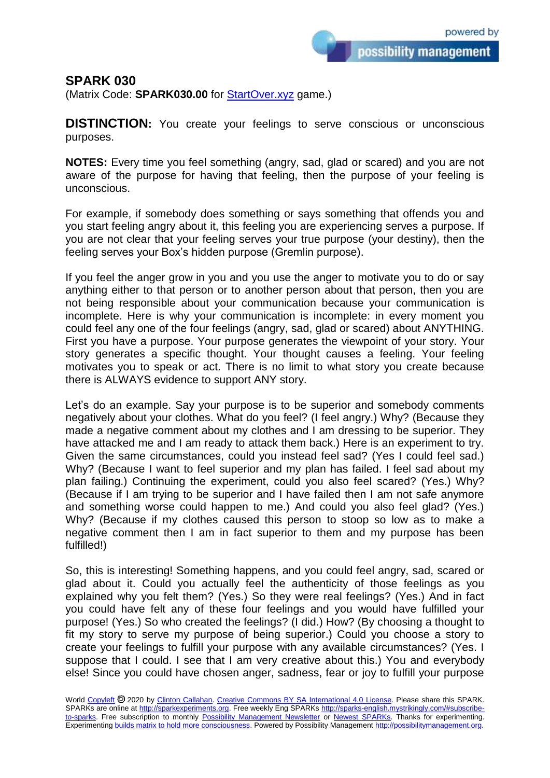possibility management

## **SPARK 030**

(Matrix Code: **SPARK030.00** for [StartOver.xyz](https://startoverxyz.mystrikingly.com/) game.)

**DISTINCTION:** You create your feelings to serve conscious or unconscious purposes.

**NOTES:** Every time you feel something (angry, sad, glad or scared) and you are not aware of the purpose for having that feeling, then the purpose of your feeling is unconscious.

For example, if somebody does something or says something that offends you and you start feeling angry about it, this feeling you are experiencing serves a purpose. If you are not clear that your feeling serves your true purpose (your destiny), then the feeling serves your Box's hidden purpose (Gremlin purpose).

If you feel the anger grow in you and you use the anger to motivate you to do or say anything either to that person or to another person about that person, then you are not being responsible about your communication because your communication is incomplete. Here is why your communication is incomplete: in every moment you could feel any one of the four feelings (angry, sad, glad or scared) about ANYTHING. First you have a purpose. Your purpose generates the viewpoint of your story. Your story generates a specific thought. Your thought causes a feeling. Your feeling motivates you to speak or act. There is no limit to what story you create because there is ALWAYS evidence to support ANY story.

Let's do an example. Say your purpose is to be superior and somebody comments negatively about your clothes. What do you feel? (I feel angry.) Why? (Because they made a negative comment about my clothes and I am dressing to be superior. They have attacked me and I am ready to attack them back.) Here is an experiment to try. Given the same circumstances, could you instead feel sad? (Yes I could feel sad.) Why? (Because I want to feel superior and my plan has failed. I feel sad about my plan failing.) Continuing the experiment, could you also feel scared? (Yes.) Why? (Because if I am trying to be superior and I have failed then I am not safe anymore and something worse could happen to me.) And could you also feel glad? (Yes.) Why? (Because if my clothes caused this person to stoop so low as to make a negative comment then I am in fact superior to them and my purpose has been fulfilled!)

So, this is interesting! Something happens, and you could feel angry, sad, scared or glad about it. Could you actually feel the authenticity of those feelings as you explained why you felt them? (Yes.) So they were real feelings? (Yes.) And in fact you could have felt any of these four feelings and you would have fulfilled your purpose! (Yes.) So who created the feelings? (I did.) How? (By choosing a thought to fit my story to serve my purpose of being superior.) Could you choose a story to create your feelings to fulfill your purpose with any available circumstances? (Yes. I suppose that I could. I see that I am very creative about this.) You and everybody else! Since you could have chosen anger, sadness, fear or joy to fulfill your purpose

World [Copyleft](https://en.wikipedia.org/wiki/Copyleft) @ 2020 by [Clinton Callahan.](http://clintoncallahan.mystrikingly.com/) [Creative Commons BY SA International 4.0 License.](https://creativecommons.org/licenses/by-sa/4.0/) Please share this SPARK. SPARKs are online at [http://sparkexperiments.org.](http://sparks-english.mystrikingly.com/) Free weekly Eng SPARKs [http://sparks-english.mystrikingly.com/#subscribe](http://sparks-english.mystrikingly.com/#subscribe-to-sparks)[to-sparks.](http://sparks-english.mystrikingly.com/#subscribe-to-sparks) Free subscription to monthly [Possibility Management Newsletter](https://possibilitymanagement.org/news/) or [Newest SPARKs.](https://www.clintoncallahan.org/newsletter-1) Thanks for experimenting. Experimentin[g builds matrix to hold more consciousness.](http://spaceport.mystrikingly.com/) Powered by Possibility Managemen[t http://possibilitymanagement.org.](http://possibilitymanagement.org/)